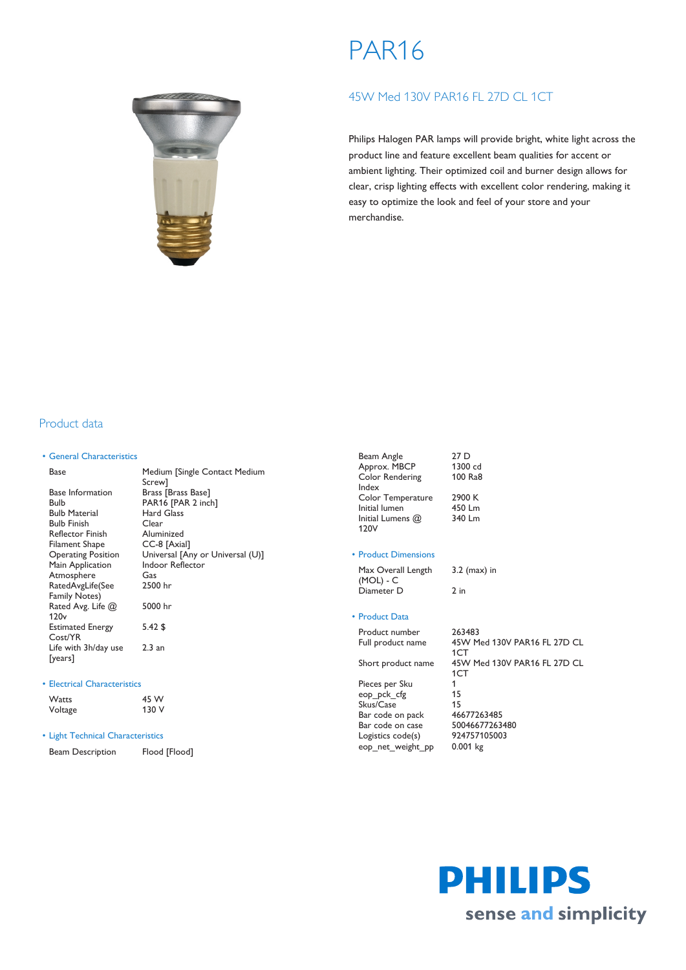# PAR16



# 45W Med 130V PAR16 FL 27D CL 1CT

Philips Halogen PAR lamps will provide bright, white light across the product line and feature excellent beam qualities for accent or ambient lighting. Their optimized coil and burner design allows for clear, crisp lighting effects with excellent color rendering, making it easy to optimize the look and feel of your store and your merchandise.

## Product data

## • General Characteristics

| Base                      | Medium [Single Contact Medium    |
|---------------------------|----------------------------------|
|                           | Screw1                           |
| <b>Base Information</b>   | Brass [Brass Base]               |
| Bulb                      | PAR16 [PAR 2 inch]               |
| <b>Bulb Material</b>      | Hard Glass                       |
| <b>Bulb Finish</b>        | Clear                            |
| <b>Reflector Finish</b>   | Aluminized                       |
| Filament Shape            | CC-8 [Axial]                     |
| <b>Operating Position</b> | Universal [Any or Universal (U)] |
| Main Application          | <b>Indoor Reflector</b>          |
| Atmosphere                | Gas                              |
| RatedAvgLife(See          | 2500 hr                          |
| Family Notes)             |                                  |
| Rated Avg. Life $@$       | 5000 hr                          |
| 120 <sub>v</sub>          |                                  |
| <b>Estimated Energy</b>   | $5.42$ \$                        |
| Cost/YR                   |                                  |
| Life with 3h/day use      | 2.3 an                           |
| [years]                   |                                  |

#### • Electrical Characteristics

| <b>Watts</b> | 45 W  |
|--------------|-------|
| Voltage      | 130 V |

## • Light Technical Characteristics

| Beam Description | Flood [Flood] |
|------------------|---------------|
|------------------|---------------|

| Beam Angle         | 27 <sub>D</sub> |
|--------------------|-----------------|
| Approx. MBCP       | 1300 cd         |
| Color Rendering    | 100 Ra8         |
| Index              |                 |
| Color Temperature  | 2900 K          |
| Initial lumen      | 450 Lm          |
| Initial Lumens $@$ | 340 Lm          |
| 120V               |                 |

#### • Product Dimensions

Max Overall Length (MOL) - C 3.2 (max) in Diameter D 2 in

## • Product Data

Product number 263483 Full product name 45W Med 130V PAR16 FL 27D CL 1CT Short product name 45W Med 130V PAR16 FL 27D CL 1CT Pieces per Sku 1 eop\_pck\_cfg 15<br>Skus/Case 15 Skus/Case 15<br>Bar code on pack 46677263485 Bar code on pack 46677263485<br>Bar code on case 50046677263480 Bar code on case 5004667726348<br>Logistics code(s) 924757105003 Logistics code(s) eop\_net\_weight\_pp 0.001 kg